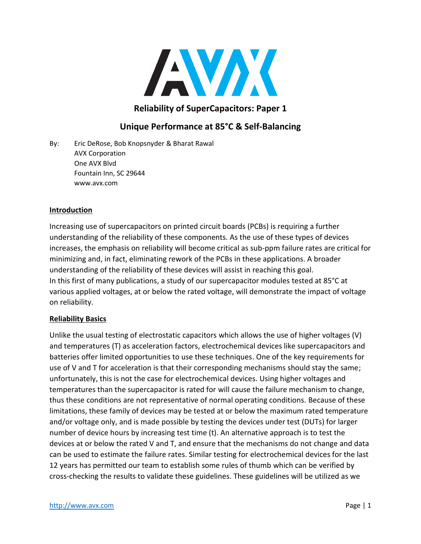

## **Reliability of SuperCapacitors: Paper 1**

# **Unique Performance at 85°C & Self-Balancing**

By: Eric DeRose, Bob Knopsnyder & Bharat Rawal AVX Corporation One AVX Blvd Fountain Inn, SC 29644 www.avx.com

#### **Introduction**

Increasing use of supercapacitors on printed circuit boards (PCBs) is requiring a further understanding of the reliability of these components. As the use of these types of devices increases, the emphasis on reliability will become critical as sub-ppm failure rates are critical for minimizing and, in fact, eliminating rework of the PCBs in these applications. A broader understanding of the reliability of these devices will assist in reaching this goal. In this first of many publications, a study of our supercapacitor modules tested at 85°C at various applied voltages, at or below the rated voltage, will demonstrate the impact of voltage on reliability.

#### **Reliability Basics**

Unlike the usual testing of electrostatic capacitors which allows the use of higher voltages (V) and temperatures (T) as acceleration factors, electrochemical devices like supercapacitors and batteries offer limited opportunities to use these techniques. One of the key requirements for use of V and T for acceleration is that their corresponding mechanisms should stay the same; unfortunately, this is not the case for electrochemical devices. Using higher voltages and temperatures than the supercapacitor is rated for will cause the failure mechanism to change, thus these conditions are not representative of normal operating conditions. Because of these limitations, these family of devices may be tested at or below the maximum rated temperature and/or voltage only, and is made possible by testing the devices under test (DUTs) for larger number of device hours by increasing test time (t). An alternative approach is to test the devices at or below the rated V and T, and ensure that the mechanisms do not change and data can be used to estimate the failure rates. Similar testing for electrochemical devices for the last 12 years has permitted our team to establish some rules of thumb which can be verified by cross-checking the results to validate these guidelines. These guidelines will be utilized as we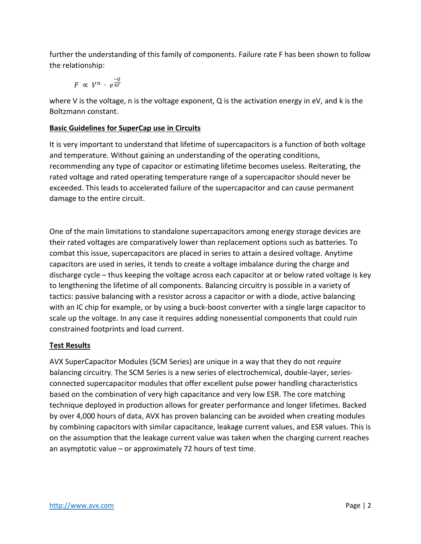further the understanding of this family of components. Failure rate F has been shown to follow the relationship:

 $F \propto V^n \cdot e^{\frac{-Q}{kT}}$  $kT$ 

where V is the voltage, n is the voltage exponent, Q is the activation energy in eV, and k is the Boltzmann constant.

## **Basic Guidelines for SuperCap use in Circuits**

It is very important to understand that lifetime of supercapacitors is a function of both voltage and temperature. Without gaining an understanding of the operating conditions, recommending any type of capacitor or estimating lifetime becomes useless. Reiterating, the rated voltage and rated operating temperature range of a supercapacitor should never be exceeded. This leads to accelerated failure of the supercapacitor and can cause permanent damage to the entire circuit.

One of the main limitations to standalone supercapacitors among energy storage devices are their rated voltages are comparatively lower than replacement options such as batteries. To combat this issue, supercapacitors are placed in series to attain a desired voltage. Anytime capacitors are used in series, it tends to create a voltage imbalance during the charge and discharge cycle – thus keeping the voltage across each capacitor at or below rated voltage is key to lengthening the lifetime of all components. Balancing circuitry is possible in a variety of tactics: passive balancing with a resistor across a capacitor or with a diode, active balancing with an IC chip for example, or by using a buck-boost converter with a single large capacitor to scale up the voltage. In any case it requires adding nonessential components that could ruin constrained footprints and load current.

### **Test Results**

AVX SuperCapacitor Modules (SCM Series) are unique in a way that they do not *require* balancing circuitry. The SCM Series is a new series of electrochemical, double-layer, seriesconnected supercapacitor modules that offer excellent pulse power handling characteristics based on the combination of very high capacitance and very low ESR. The core matching technique deployed in production allows for greater performance and longer lifetimes. Backed by over 4,000 hours of data, AVX has proven balancing can be avoided when creating modules by combining capacitors with similar capacitance, leakage current values, and ESR values. This is on the assumption that the leakage current value was taken when the charging current reaches an asymptotic value – or approximately 72 hours of test time.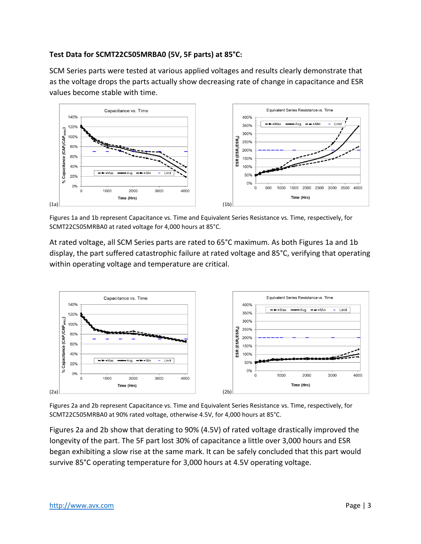### **Test Data for SCMT22C505MRBA0 (5V, 5F parts) at 85°C:**

SCM Series parts were tested at various applied voltages and results clearly demonstrate that as the voltage drops the parts actually show decreasing rate of change in capacitance and ESR values become stable with time.



Figures 1a and 1b represent Capacitance vs. Time and Equivalent Series Resistance vs. Time, respectively, for SCMT22C505MRBA0 at rated voltage for 4,000 hours at 85°C.

At rated voltage, all SCM Series parts are rated to 65°C maximum. As both Figures 1a and 1b display, the part suffered catastrophic failure at rated voltage and 85°C, verifying that operating within operating voltage and temperature are critical.



Figures 2a and 2b represent Capacitance vs. Time and Equivalent Series Resistance vs. Time, respectively, for SCMT22C505MRBA0 at 90% rated voltage, otherwise 4.5V, for 4,000 hours at 85°C.

Figures 2a and 2b show that derating to 90% (4.5V) of rated voltage drastically improved the longevity of the part. The 5F part lost 30% of capacitance a little over 3,000 hours and ESR began exhibiting a slow rise at the same mark. It can be safely concluded that this part would survive 85°C operating temperature for 3,000 hours at 4.5V operating voltage.